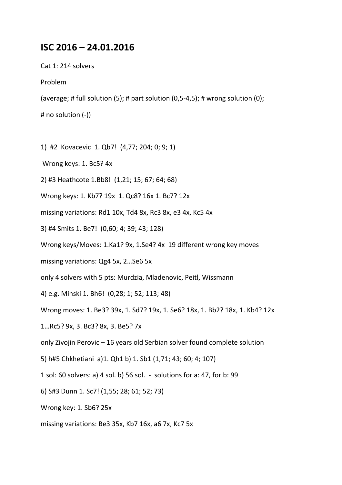## **ISC 2016 – 24.01.2016**

Cat 1: 214 solvers

Problem

(average; # full solution  $(5)$ ; # part solution  $(0,5-4,5)$ ; # wrong solution  $(0)$ ;

# no solution (-))

1) #2 Kovacevic 1. Qb7! (4,77; 204; 0; 9; 1)

Wrong keys: 1. Bc5? 4x

- 2) #3 Heathcote 1.Bb8! (1,21; 15; 67; 64; 68)
- Wrong keys: 1. Kb7? 19x 1. Qc8? 16x 1. Bc7? 12x
- missing variations: Rd1 10x, Td4 8x, Rc3 8x, e3 4x, Kc5 4x
- 3) #4 Smits 1. Be7! (0,60; 4; 39; 43; 128)
- Wrong keys/Moves: 1.Ka1? 9x, 1.Se4? 4x 19 different wrong key moves
- missing variations: Qg4 5x, 2…Se6 5x
- only 4 solvers with 5 pts: Murdzia, Mladenovic, Peitl, Wissmann
- 4) e.g. Minski 1. Bh6! (0,28; 1; 52; 113; 48)
- Wrong moves: 1. Be3? 39x, 1. Sd7? 19x, 1. Se6? 18x, 1. Bb2? 18x, 1. Kb4? 12x
- 1…Rc5? 9x, 3. Bc3? 8x, 3. Be5? 7x
- only Zivojin Perovic 16 years old Serbian solver found complete solution
- 5) h#5 Chkhetiani a)1. Qh1 b) 1. Sb1 (1,71; 43; 60; 4; 107)
- 1 sol: 60 solvers: a) 4 sol. b) 56 sol. solutions for a: 47, for b: 99
- 6) S#3 Dunn 1. Sc7! (1,55; 28; 61; 52; 73)
- Wrong key: 1. Sb6? 25x
- missing variations: Be3 35x, Kb7 16x, a6 7x, Kc7 5x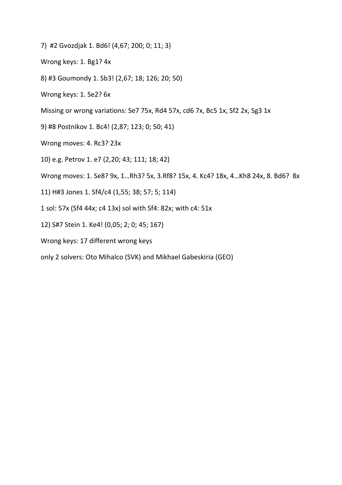- 7) #2 Gvozdjak 1. Bd6! (4,67; 200; 0; 11; 3)
- Wrong keys: 1. Bg1? 4x
- 8) #3 Goumondy 1. Sb3! (2,67; 18; 126; 20; 50)
- Wrong keys: 1. Se2? 6x
- Missing or wrong variations: Se7 75x, Rd4 57x, cd6 7x, Bc5 1x, Sf2 2x, Sg3 1x
- 9) #8 Postnikov 1. Bc4! (2,87; 123; 0; 50; 41)
- Wrong moves: 4. Rc3? 23x
- 10) e.g. Petrov 1. e7 (2,20; 43; 111; 18; 42)
- Wrong moves: 1. Se8? 9x, 1…Rh3? 5x, 3.Rf8? 15x, 4. Kc4? 18x, 4…Kh8 24x, 8. Bd6? 8x
- 11) H#3 Jones 1. Sf4/c4 (1,55; 38; 57; 5; 114)
- 1 sol: 57x (Sf4 44x; c4 13x) sol with Sf4: 82x; with c4: 51x
- 12) S#7 Stein 1. Ke4! (0,05; 2; 0; 45; 167)
- Wrong keys: 17 different wrong keys
- only 2 solvers: Oto Mihalco (SVK) and Mikhael Gabeskiria (GEO)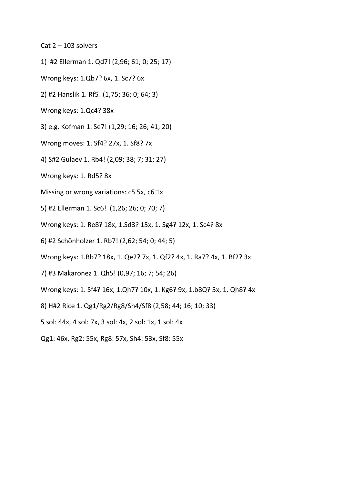Cat  $2 - 103$  solvers

1) #2 Ellerman 1. Qd7! (2,96; 61; 0; 25; 17)

Wrong keys: 1.Qb7? 6x, 1. Sc7? 6x

2) #2 Hanslik 1. Rf5! (1,75; 36; 0; 64; 3)

Wrong keys: 1.Qc4? 38x

3) e.g. Kofman 1. Se7! (1,29; 16; 26; 41; 20)

Wrong moves: 1. Sf4? 27x, 1. Sf8? 7x

4) S#2 Gulaev 1. Rb4! (2,09; 38; 7; 31; 27)

Wrong keys: 1. Rd5? 8x

Missing or wrong variations: c5 5x, c6 1x

5) #2 Ellerman 1. Sc6! (1,26; 26; 0; 70; 7)

Wrong keys: 1. Re8? 18x, 1.Sd3? 15x, 1. Sg4? 12x, 1. Sc4? 8x

6) #2 Schönholzer 1. Rb7! (2,62; 54; 0; 44; 5)

Wrong keys: 1.Bb7? 18x, 1. Qe2? 7x, 1. Qf2? 4x, 1. Ra7? 4x, 1. Bf2? 3x

7) #3 Makaronez 1. Qh5! (0,97; 16; 7; 54; 26)

Wrong keys: 1. Sf4? 16x, 1.Qh7? 10x, 1. Kg6? 9x, 1.b8Q? 5x, 1. Qh8? 4x

8) H#2 Rice 1. Qg1/Rg2/Rg8/Sh4/Sf8 (2,58; 44; 16; 10; 33)

5 sol: 44x, 4 sol: 7x, 3 sol: 4x, 2 sol: 1x, 1 sol: 4x

Qg1: 46x, Rg2: 55x, Rg8: 57x, Sh4: 53x, Sf8: 55x